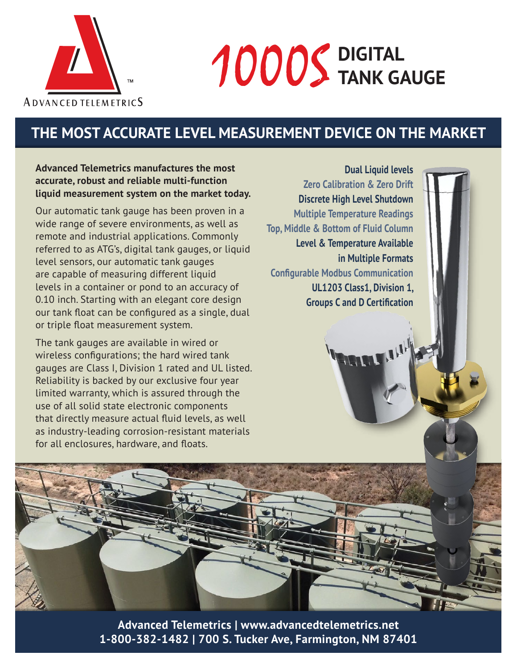

# **DIGITAL** 1000S **TANK GAUGE**

## **THE MOST ACCURATE LEVEL MEASUREMENT DEVICE ON THE MARKET**

#### **Advanced Telemetrics manufactures the most accurate, robust and reliable multi-function liquid measurement system on the market today.**

Our automatic tank gauge has been proven in a wide range of severe environments, as well as remote and industrial applications. Commonly referred to as ATG's, digital tank gauges, or liquid level sensors, our automatic tank gauges are capable of measuring different liquid levels in a container or pond to an accuracy of 0.10 inch. Starting with an elegant core design our tank float can be configured as a single, dual or triple float measurement system.

The tank gauges are available in wired or wireless configurations; the hard wired tank gauges are Class I, Division 1 rated and UL listed. Reliability is backed by our exclusive four year limited warranty, which is assured through the use of all solid state electronic components that directly measure actual fluid levels, as well as industry-leading corrosion-resistant materials for all enclosures, hardware, and floats.

**Dual Liquid levels Zero Calibration & Zero Drift Discrete High Level Shutdown Multiple Temperature Readings Top, Middle & Bottom of Fluid Column Level & Temperature Available in Multiple Formats Configurable Modbus Communication UL1203 Class1, Division 1, Groups C and D Certification**

**ALL!** 

**Advanced Telemetrics | www.advancedtelemetrics.net 1-800-382-1482 | 700 S. Tucker Ave, Farmington, NM 87401**